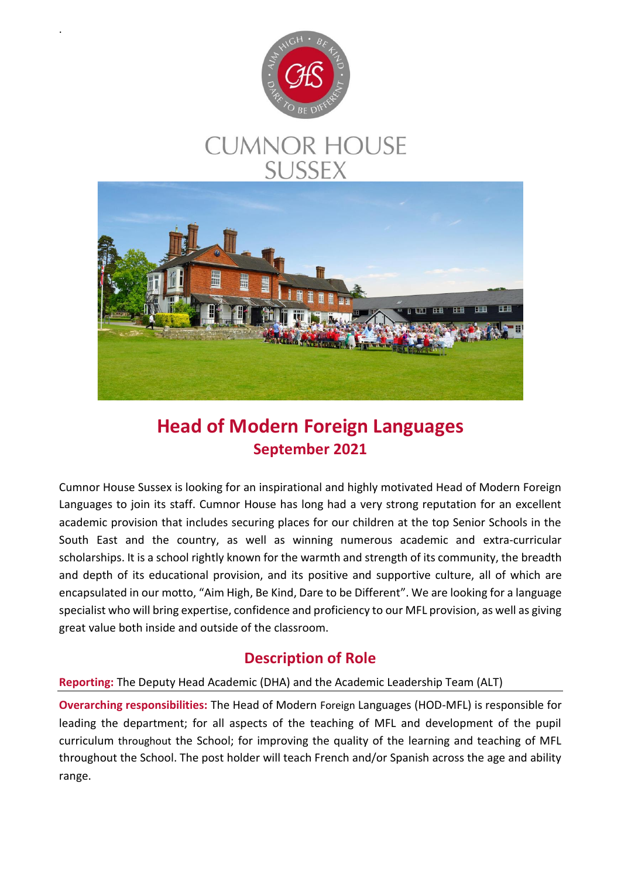

.

# **CUMNOR HOUSE SUSSEX**



## **Head of Modern Foreign Languages September 2021**

Cumnor House Sussex is looking for an inspirational and highly motivated Head of Modern Foreign Languages to join its staff. Cumnor House has long had a very strong reputation for an excellent academic provision that includes securing places for our children at the top Senior Schools in the South East and the country, as well as winning numerous academic and extra-curricular scholarships. It is a school rightly known for the warmth and strength of its community, the breadth and depth of its educational provision, and its positive and supportive culture, all of which are encapsulated in our motto, "Aim High, Be Kind, Dare to be Different". We are looking for a language specialist who will bring expertise, confidence and proficiency to our MFL provision, as well as giving great value both inside and outside of the classroom.

### **Description of Role**

#### **Reporting:** The Deputy Head Academic (DHA) and the Academic Leadership Team (ALT)

**Overarching responsibilities:** The Head of Modern Foreign Languages (HOD-MFL) is responsible for leading the department; for all aspects of the teaching of MFL and development of the pupil curriculum throughout the School; for improving the quality of the learning and teaching of MFL throughout the School. The post holder will teach French and/or Spanish across the age and ability range.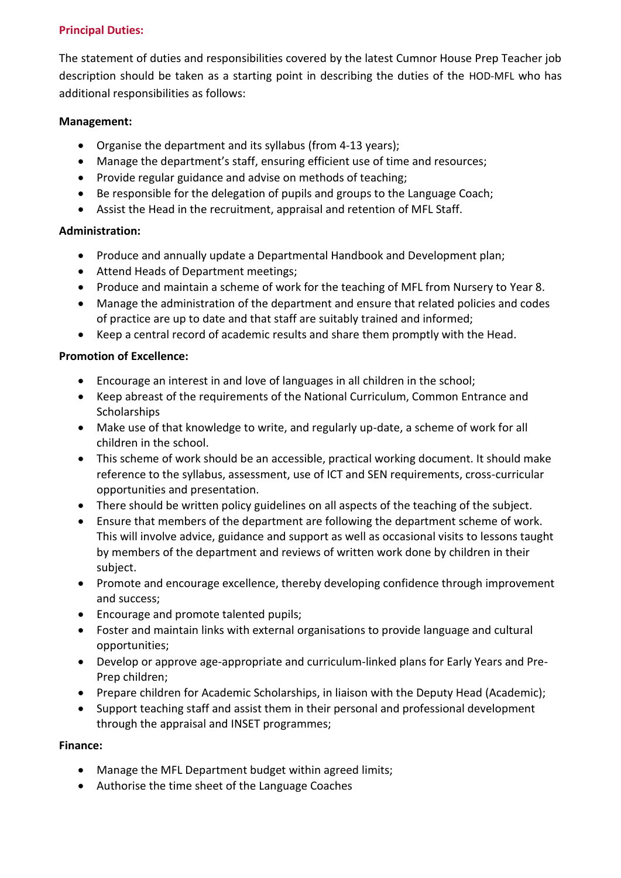#### **Principal Duties:**

The statement of duties and responsibilities covered by the latest Cumnor House Prep Teacher job description should be taken as a starting point in describing the duties of the HOD-MFL who has additional responsibilities as follows:

#### **Management:**

- Organise the department and its syllabus (from 4-13 years);
- Manage the department's staff, ensuring efficient use of time and resources;
- Provide regular guidance and advise on methods of teaching:
- Be responsible for the delegation of pupils and groups to the Language Coach;
- Assist the Head in the recruitment, appraisal and retention of MFL Staff.

#### **Administration:**

- Produce and annually update a Departmental Handbook and Development plan;
- Attend Heads of Department meetings;
- Produce and maintain a scheme of work for the teaching of MFL from Nursery to Year 8.
- Manage the administration of the department and ensure that related policies and codes of practice are up to date and that staff are suitably trained and informed;
- Keep a central record of academic results and share them promptly with the Head.

#### **Promotion of Excellence:**

- Encourage an interest in and love of languages in all children in the school;
- Keep abreast of the requirements of the National Curriculum, Common Entrance and **Scholarships**
- Make use of that knowledge to write, and regularly up-date, a scheme of work for all children in the school.
- This scheme of work should be an accessible, practical working document. It should make reference to the syllabus, assessment, use of ICT and SEN requirements, cross-curricular opportunities and presentation.
- There should be written policy guidelines on all aspects of the teaching of the subject.
- Ensure that members of the department are following the department scheme of work. This will involve advice, guidance and support as well as occasional visits to lessons taught by members of the department and reviews of written work done by children in their subject.
- Promote and encourage excellence, thereby developing confidence through improvement and success;
- Encourage and promote talented pupils;
- Foster and maintain links with external organisations to provide language and cultural opportunities;
- Develop or approve age-appropriate and curriculum-linked plans for Early Years and Pre-Prep children;
- Prepare children for Academic Scholarships, in liaison with the Deputy Head (Academic);
- Support teaching staff and assist them in their personal and professional development through the appraisal and INSET programmes;

#### **Finance:**

- Manage the MFL Department budget within agreed limits;
- Authorise the time sheet of the Language Coaches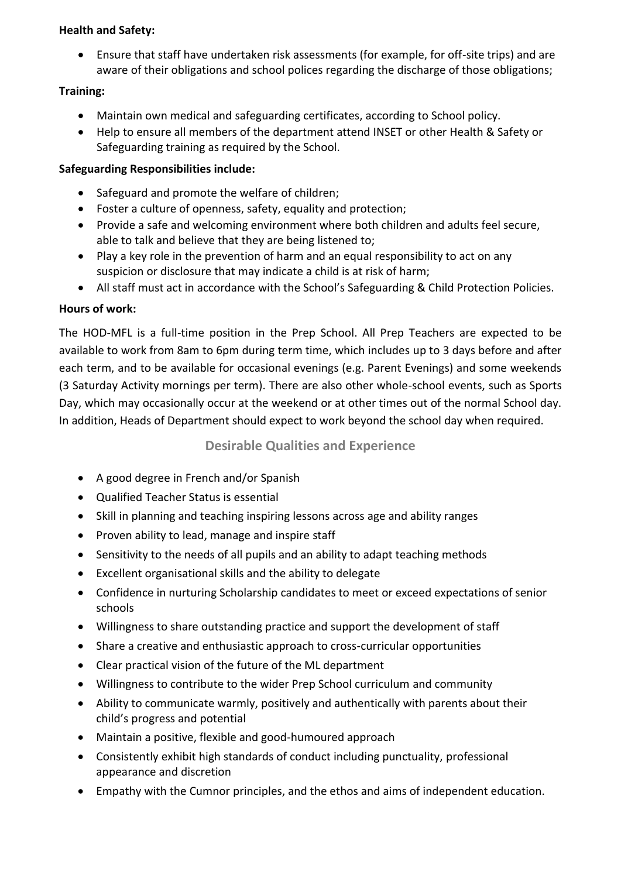#### **Health and Safety:**

 Ensure that staff have undertaken risk assessments (for example, for off-site trips) and are aware of their obligations and school polices regarding the discharge of those obligations;

#### **Training:**

- Maintain own medical and safeguarding certificates, according to School policy.
- Help to ensure all members of the department attend INSET or other Health & Safety or Safeguarding training as required by the School.

#### **Safeguarding Responsibilities include:**

- Safeguard and promote the welfare of children;
- Foster a culture of openness, safety, equality and protection;
- Provide a safe and welcoming environment where both children and adults feel secure, able to talk and believe that they are being listened to;
- Play a key role in the prevention of harm and an equal responsibility to act on any suspicion or disclosure that may indicate a child is at risk of harm;
- All staff must act in accordance with the School's Safeguarding & Child Protection Policies.

#### **Hours of work:**

The HOD-MFL is a full-time position in the Prep School. All Prep Teachers are expected to be available to work from 8am to 6pm during term time, which includes up to 3 days before and after each term, and to be available for occasional evenings (e.g. Parent Evenings) and some weekends (3 Saturday Activity mornings per term). There are also other whole-school events, such as Sports Day, which may occasionally occur at the weekend or at other times out of the normal School day. In addition, Heads of Department should expect to work beyond the school day when required.

#### **Desirable Qualities and Experience**

- A good degree in French and/or Spanish
- Qualified Teacher Status is essential
- Skill in planning and teaching inspiring lessons across age and ability ranges
- Proven ability to lead, manage and inspire staff
- Sensitivity to the needs of all pupils and an ability to adapt teaching methods
- Excellent organisational skills and the ability to delegate
- Confidence in nurturing Scholarship candidates to meet or exceed expectations of senior schools
- Willingness to share outstanding practice and support the development of staff
- Share a creative and enthusiastic approach to cross-curricular opportunities
- Clear practical vision of the future of the ML department
- Willingness to contribute to the wider Prep School curriculum and community
- Ability to communicate warmly, positively and authentically with parents about their child's progress and potential
- Maintain a positive, flexible and good-humoured approach
- Consistently exhibit high standards of conduct including punctuality, professional appearance and discretion
- Empathy with the Cumnor principles, and the ethos and aims of independent education.